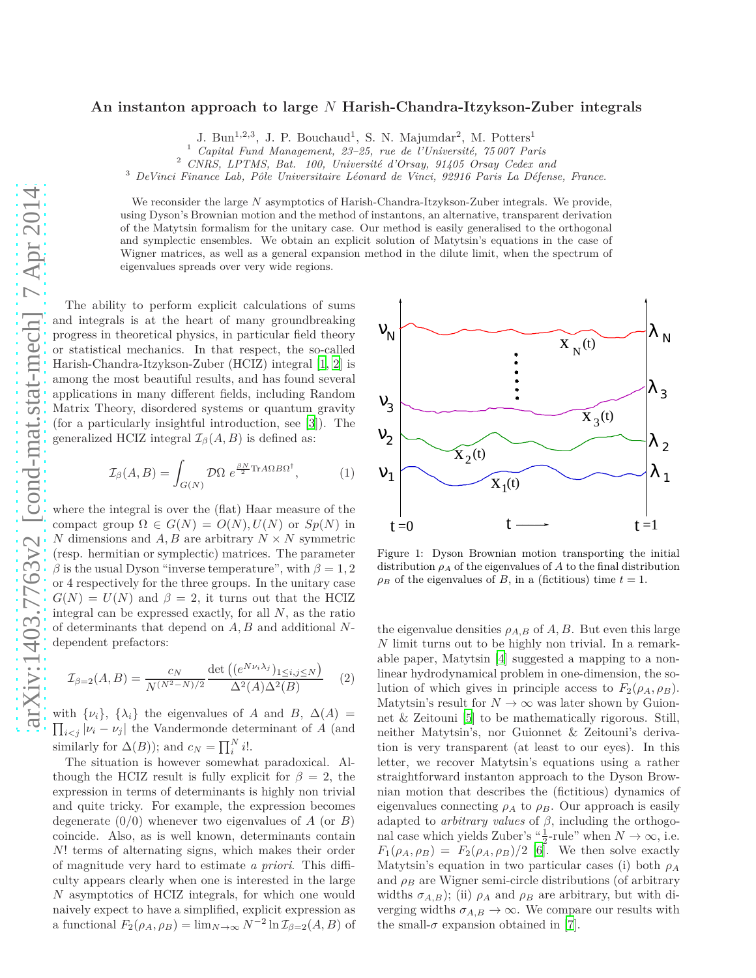## **An instanton approach to large** *N* **Harish-Chandra-Itzykson-Zuber integrals**

J. Bun<sup>1,2,3</sup>, J. P. Bouchaud<sup>1</sup>, S. N. Majumdar<sup>2</sup>, M. Potters<sup>1</sup>

<sup>1</sup> *Capital Fund Management, 23–25, rue de l'Université, 75 007 Paris*

<sup>2</sup> *CNRS, LPTMS, Bat. 100, Université d'Orsay, 91405 Orsay Cedex and*

<sup>3</sup> *DeVinci Finance Lab, Pôle Universitaire Léonard de Vinci, 92916 Paris La Défense, France.*

We reconsider the large *N* asymptotics of Harish-Chandra-Itzykson-Zuber integrals. We provide, using Dyson's Brownian motion and the method of instantons, an alternative, transparent derivation of the Matytsin formalism for the unitary case. Our method is easily generalised to the orthogonal and symplectic ensembles. We obtain an explicit solution of Matytsin's equations in the case of Wigner matrices, as well as a general expansion method in the dilute limit, when the spectrum of eigenvalues spreads over very wide regions.

The ability to perform explicit calculations of sums and integrals is at the heart of many groundbreaking progress in theoretical physics, in particular field theory or statistical mechanics. In that respect, the so-called Harish-Chandra-Itzykson-Zuber (HCIZ) integral [\[1](#page-3-0), [2](#page-3-1)] is among the most beautiful results, and has found several applications in many different fields, including Random Matrix Theory, disordered systems or quantum gravity (for a particularly insightful introduction, see [\[3](#page-3-2)]). The generalized HCIZ integral  $\mathcal{I}_{\beta}(A, B)$  is defined as:

<span id="page-0-0"></span>
$$
\mathcal{I}_{\beta}(A,B) = \int_{G(N)} \mathcal{D}\Omega \ e^{\frac{\beta N}{2} \text{Tr}A\Omega B\Omega^{\dagger}}, \tag{1}
$$

where the integral is over the (flat) Haar measure of the compact group  $\Omega \in G(N) = O(N)$ ,  $U(N)$  or  $Sp(N)$  in *N* dimensions and *A, B* are arbitrary  $N \times N$  symmetric (resp. hermitian or symplectic) matrices. The parameter  $\beta$  is the usual Dyson "inverse temperature", with  $\beta = 1, 2$ or 4 respectively for the three groups. In the unitary case  $G(N) = U(N)$  and  $\beta = 2$ , it turns out that the HCIZ integral can be expressed exactly, for all *N*, as the ratio of determinants that depend on *A, B* and additional *N*dependent prefactors:

$$
\mathcal{I}_{\beta=2}(A,B) = \frac{c_N}{N^{(N^2-N)/2}} \frac{\det((e^{N\nu_i \lambda_j})_{1 \le i,j \le N})}{\Delta^2(A)\Delta^2(B)} \tag{2}
$$

 $\prod_{i < j} |v_i - v_j|$  the Vandermonde determinant of *A* (and with  $\{\nu_i\}$ ,  $\{\lambda_i\}$  the eigenvalues of *A* and *B*,  $\Delta(A)$  = similarly for  $\Delta(B)$ ); and  $c_N = \prod_i^N i!$ .

The situation is however somewhat paradoxical. Although the HCIZ result is fully explicit for  $\beta = 2$ , the expression in terms of determinants is highly non trivial and quite tricky. For example, the expression becomes degenerate (0*/*0) whenever two eigenvalues of *A* (or *B*) coincide. Also, as is well known, determinants contain *N*! terms of alternating signs, which makes their order of magnitude very hard to estimate *a priori*. This difficulty appears clearly when one is interested in the large *N* asymptotics of HCIZ integrals, for which one would naively expect to have a simplified, explicit expression as a functional  $F_2(\rho_A, \rho_B) = \lim_{N \to \infty} N^{-2} \ln \mathcal{I}_{\beta=2}(A, B)$  of



Figure 1: Dyson Brownian motion transporting the initial distribution  $\rho_A$  of the eigenvalues of  $A$  to the final distribution  $\rho_B$  of the eigenvalues of *B*, in a (fictitious) time  $t = 1$ .

the eigenvalue densities  $\rho_{A,B}$  of  $A, B$ . But even this large *N* limit turns out to be highly non trivial. In a remarkable paper, Matytsin [\[4\]](#page-3-3) suggested a mapping to a nonlinear hydrodynamical problem in one-dimension, the solution of which gives in principle access to  $F_2(\rho_A, \rho_B)$ . Matytsin's result for  $N \to \infty$  was later shown by Guionnet & Zeitouni [\[5](#page-3-4)] to be mathematically rigorous. Still, neither Matytsin's, nor Guionnet & Zeitouni's derivation is very transparent (at least to our eyes). In this letter, we recover Matytsin's equations using a rather straightforward instanton approach to the Dyson Brownian motion that describes the (fictitious) dynamics of eigenvalues connecting  $\rho_A$  to  $\rho_B$ . Our approach is easily adapted to *arbitrary values* of  $\beta$ , including the orthogonal case which yields Zuber's " $\frac{1}{2}$ -rule" when  $N \to \infty$ , i.e.  $F_1(\rho_A, \rho_B) = F_2(\rho_A, \rho_B)/2$  [\[6\]](#page-3-5). We then solve exactly Matytsin's equation in two particular cases (i) both *ρ<sup>A</sup>* and  $\rho_B$  are Wigner semi-circle distributions (of arbitrary widths  $\sigma_{A,B}$ ); (ii)  $\rho_A$  and  $\rho_B$  are arbitrary, but with diverging widths  $\sigma_{A,B} \to \infty$ . We compare our results with the small- $\sigma$  expansion obtained in [\[7\]](#page-3-6).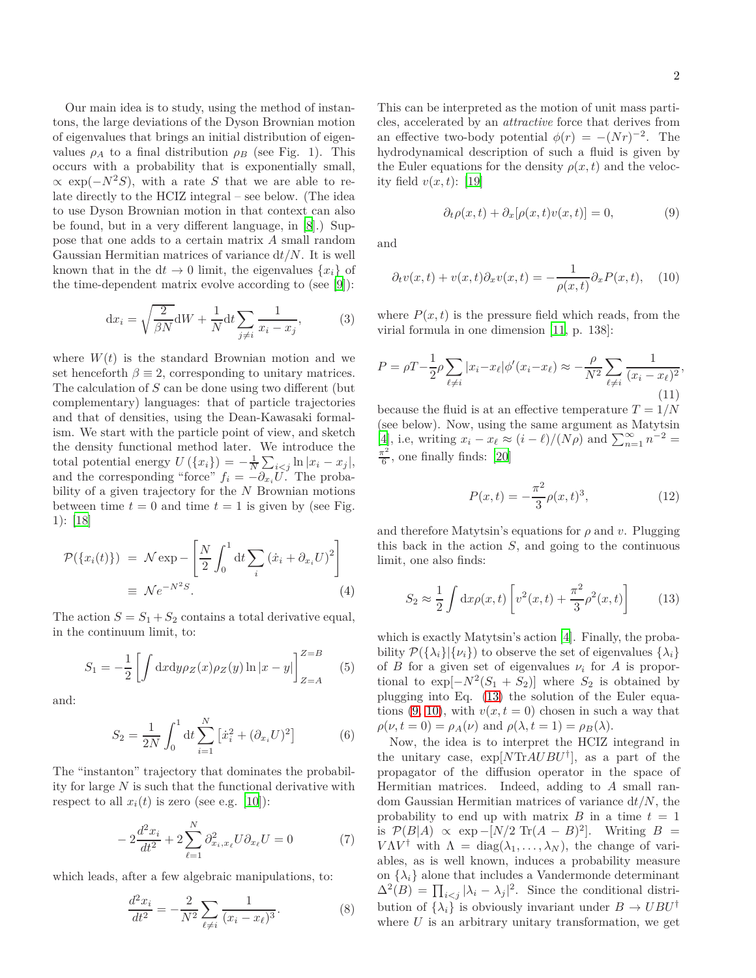Our main idea is to study, using the method of instantons, the large deviations of the Dyson Brownian motion of eigenvalues that brings an initial distribution of eigenvalues  $\rho_A$  to a final distribution  $\rho_B$  (see Fig. 1). This occurs with a probability that is exponentially small,  $\propto$  exp( $-N^2S$ ), with a rate *S* that we are able to relate directly to the HCIZ integral – see below. (The idea to use Dyson Brownian motion in that context can also be found, but in a very different language, in [\[8](#page-3-7)].) Suppose that one adds to a certain matrix *A* small random Gaussian Hermitian matrices of variance d*t/N*. It is well known that in the  $dt \to 0$  limit, the eigenvalues  $\{x_i\}$  of the time-dependent matrix evolve according to (see [\[9\]](#page-3-8)):

<span id="page-1-3"></span>
$$
\mathrm{d}x_i = \sqrt{\frac{2}{\beta N}} \mathrm{d}W + \frac{1}{N} \mathrm{d}t \sum_{j \neq i} \frac{1}{x_i - x_j},\tag{3}
$$

where  $W(t)$  is the standard Brownian motion and we set henceforth  $\beta \equiv 2$ , corresponding to unitary matrices. The calculation of *S* can be done using two different (but complementary) languages: that of particle trajectories and that of densities, using the Dean-Kawasaki formalism. We start with the particle point of view, and sketch the density functional method later. We introduce the total potential energy  $U(\{x_i\}) = -\frac{1}{N} \sum_{i < j} \ln |x_i - x_j|$ , and the corresponding "force"  $f_i = -\partial_{x_i} U$ . The probability of a given trajectory for the *N* Brownian motions between time  $t = 0$  and time  $t = 1$  is given by (see Fig. 1): [\[18\]](#page-3-9)

$$
\mathcal{P}(\{x_i(t)\}) = \mathcal{N} \exp \left[ \frac{N}{2} \int_0^1 dt \sum_i (\dot{x}_i + \partial_{x_i} U)^2 \right]
$$

$$
\equiv \mathcal{N} e^{-N^2 S}.
$$
 (4)

The action  $S = S_1 + S_2$  contains a total derivative equal, in the continuum limit, to:

$$
S_1 = -\frac{1}{2} \left[ \int dx dy \rho_Z(x) \rho_Z(y) \ln|x - y| \right]_{Z = A}^{Z = B} \tag{5}
$$

and:

$$
S_2 = \frac{1}{2N} \int_0^1 dt \sum_{i=1}^N \left[ \dot{x}_i^2 + (\partial_{x_i} U)^2 \right] \tag{6}
$$

The "instanton" trajectory that dominates the probability for large *N* is such that the functional derivative with respect to all  $x_i(t)$  is zero (see e.g. [\[10\]](#page-3-10)):

$$
-2\frac{d^2x_i}{dt^2} + 2\sum_{\ell=1}^{N} \partial_{x_i, x_\ell}^2 U \partial_{x_\ell} U = 0
$$
 (7)

which leads, after a few algebraic manipulations, to:

$$
\frac{d^2x_i}{dt^2} = -\frac{2}{N^2} \sum_{\ell \neq i} \frac{1}{(x_i - x_\ell)^3}.
$$
 (8)

This can be interpreted as the motion of unit mass particles, accelerated by an *attractive* force that derives from an effective two-body potential  $\phi(r) = -(Nr)^{-2}$ . The hydrodynamical description of such a fluid is given by the Euler equations for the density  $\rho(x, t)$  and the velocity field  $v(x,t)$ : [\[19\]](#page-3-11)

<span id="page-1-1"></span>
$$
\partial_t \rho(x, t) + \partial_x [\rho(x, t)v(x, t)] = 0,\tag{9}
$$

and

<span id="page-1-2"></span>
$$
\partial_t v(x,t) + v(x,t)\partial_x v(x,t) = -\frac{1}{\rho(x,t)}\partial_x P(x,t), \quad (10)
$$

where  $P(x, t)$  is the pressure field which reads, from the virial formula in one dimension [\[11,](#page-3-12) p. 138]:

$$
P = \rho T - \frac{1}{2}\rho \sum_{\ell \neq i} |x_i - x_\ell| \phi'(x_i - x_\ell) \approx -\frac{\rho}{N^2} \sum_{\ell \neq i} \frac{1}{(x_i - x_\ell)^2},\tag{11}
$$

because the fluid is at an effective temperature *T* = 1*/N* (see below). Now, using the same argument as Matytsin  $[4]$  $[4]$ , i.e, writing  $x_i - x_\ell \approx (i - \ell)/(N\rho)$  and  $\sum_{n=1}^{\infty} n^{-2} =$ *π* 2  $\frac{6}{6}$ , one finally finds: [\[20\]](#page-3-13)

$$
P(x,t) = -\frac{\pi^2}{3}\rho(x,t)^3,
$$
\n(12)

and therefore Matytsin's equations for  $\rho$  and  $v$ . Plugging this back in the action *S*, and going to the continuous limit, one also finds:

<span id="page-1-0"></span>
$$
S_2 \approx \frac{1}{2} \int dx \rho(x, t) \left[ v^2(x, t) + \frac{\pi^2}{3} \rho^2(x, t) \right]
$$
 (13)

which is exactly Matytsin's action [\[4](#page-3-3)]. Finally, the probability  $\mathcal{P}(\{\lambda_i\}|\{\nu_i\})$  to observe the set of eigenvalues  $\{\lambda_i\}$ of *B* for a given set of eigenvalues  $\nu_i$  for *A* is proportional to  $\exp[-N^2(S_1 + S_2)]$  where  $S_2$  is obtained by plugging into Eq. [\(13\)](#page-1-0) the solution of the Euler equations  $(9, 10)$  $(9, 10)$ , with  $v(x, t = 0)$  chosen in such a way that  $\rho(\nu, t = 0) = \rho_A(\nu)$  and  $\rho(\lambda, t = 1) = \rho_B(\lambda)$ .

Now, the idea is to interpret the HCIZ integrand in the unitary case, exp[*N*Tr*AUBU*† ], as a part of the propagator of the diffusion operator in the space of Hermitian matrices. Indeed, adding to *A* small random Gaussian Hermitian matrices of variance d*t/N*, the probability to end up with matrix  $B$  in a time  $t = 1$ is  $P(B|A) \propto \exp{-[N/2 \text{ Tr}(A-B)^2]}$ . Writing *B* = *VAV*<sup>†</sup> with  $\Lambda = \text{diag}(\lambda_1, \ldots, \lambda_N)$ , the change of variables, as is well known, induces a probability measure on  $\{\lambda_i\}$  alone that includes a Vandermonde determinant  $\Delta^2(B) = \prod_{i < j} |\lambda_i - \lambda_j|^2$ . Since the conditional distribution of  $\{\lambda_i\}$  is obviously invariant under  $B \to UBU^{\dagger}$ where  $U$  is an arbitrary unitary transformation, we get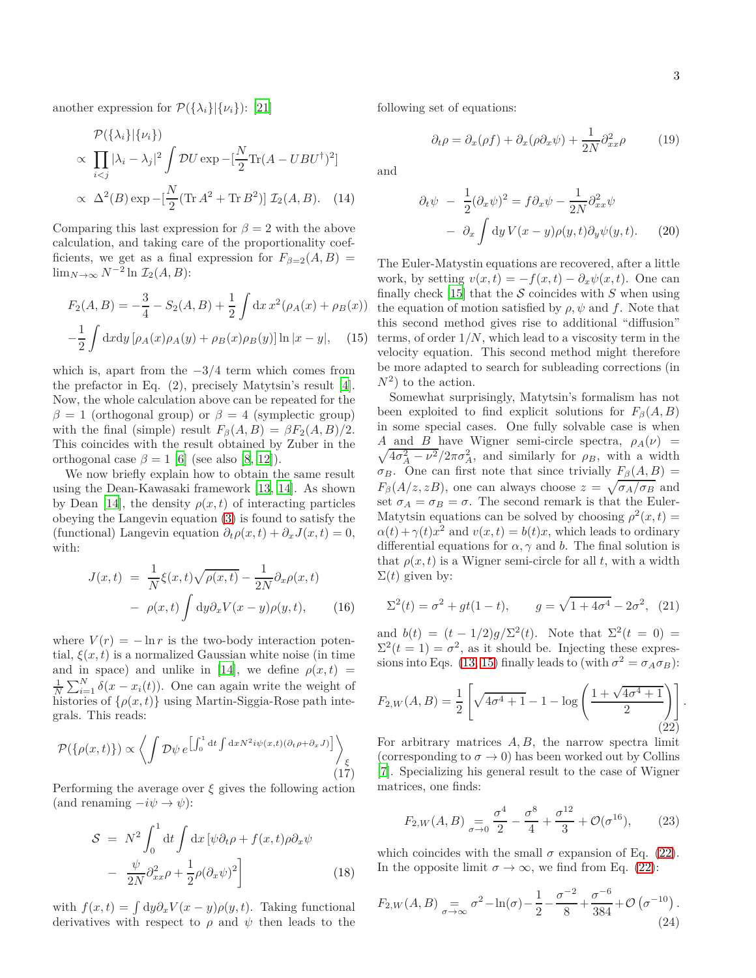another expression for  $\mathcal{P}(\{\lambda_i\}|\{\nu_i\})$ : [\[21\]](#page-3-14)

$$
\mathcal{P}(\{\lambda_i\}|\{\nu_i\})
$$
  
 
$$
\propto \prod_{i  
 
$$
\propto \Delta^2(B) \exp\left[-\frac{N}{2}(\text{Tr} A^2 + \text{Tr} B^2)\right] \mathcal{I}_2(A, B). \quad (14)
$$
$$

Comparing this last expression for  $\beta = 2$  with the above calculation, and taking care of the proportionality coefficients, we get as a final expression for  $F_{\beta=2}(A, B)$  = lim<sub>*N*→∞</sub>  $N^{-2}$  ln  $\mathcal{I}_2(A, B)$ :

<span id="page-2-0"></span>
$$
F_2(A, B) = -\frac{3}{4} - S_2(A, B) + \frac{1}{2} \int dx x^2 (\rho_A(x) + \rho_B(x))
$$

$$
-\frac{1}{2} \int dx dy \left[ \rho_A(x) \rho_A(y) + \rho_B(x) \rho_B(y) \right] \ln|x - y|, \quad (15)
$$

which is, apart from the −3*/*4 term which comes from the prefactor in Eq. (2), precisely Matytsin's result [\[4](#page-3-3)]. Now, the whole calculation above can be repeated for the  $\beta = 1$  (orthogonal group) or  $\beta = 4$  (symplectic group) with the final (simple) result  $F_\beta(A, B) = \beta F_2(A, B)/2$ . This coincides with the result obtained by Zuber in the orthogonal case  $\beta = 1$  [\[6](#page-3-5)] (see also [\[8,](#page-3-7) [12\]](#page-3-15)).

We now briefly explain how to obtain the same result using the Dean-Kawasaki framework [\[13](#page-3-16), [14](#page-3-17)]. As shown by Dean [\[14](#page-3-17)], the density  $\rho(x,t)$  of interacting particles obeying the Langevin equation [\(3\)](#page-1-3) is found to satisfy the (functional) Langevin equation  $\partial_t \rho(x, t) + \partial_x J(x, t) = 0$ , with:

$$
J(x,t) = \frac{1}{N} \xi(x,t) \sqrt{\rho(x,t)} - \frac{1}{2N} \partial_x \rho(x,t)
$$

$$
- \rho(x,t) \int dy \partial_x V(x-y) \rho(y,t), \qquad (16)
$$

where  $V(r) = -\ln r$  is the two-body interaction potential,  $\xi(x, t)$  is a normalized Gaussian white noise (in time and in space) and unlike in [\[14\]](#page-3-17), we define  $\rho(x,t)$  =  $\frac{1}{N}\sum_{i=1}^{N}\delta(x-x_i(t))$ . One can again write the weight of histories of  $\{\rho(x,t)\}\$ using Martin-Siggia-Rose path integrals. This reads:

$$
\mathcal{P}(\{\rho(x,t)\}) \propto \left\langle \int \mathcal{D}\psi \, e^{\left[\int_0^1 \mathrm{d}t \int \mathrm{d}x N^2 i \psi(x,t) (\partial_t \rho + \partial_x J)\right]} \right\rangle_{\xi}
$$
\n(17)

Performing the average over  $\xi$  gives the following action (and renaming  $-i\psi \rightarrow \psi$ ):

$$
S = N^2 \int_0^1 dt \int dx \left[ \psi \partial_t \rho + f(x, t) \rho \partial_x \psi \right]
$$

$$
- \frac{\psi}{2N} \partial_{xx}^2 \rho + \frac{1}{2} \rho (\partial_x \psi)^2 \Big]
$$
(18)

with  $f(x,t) = \int dy \partial_x V(x-y) \rho(y,t)$ . Taking functional derivatives with respect to  $\rho$  and  $\psi$  then leads to the following set of equations:

$$
\partial_t \rho = \partial_x(\rho f) + \partial_x(\rho \partial_x \psi) + \frac{1}{2N} \partial_{xx}^2 \rho \tag{19}
$$

and

$$
\partial_t \psi - \frac{1}{2} (\partial_x \psi)^2 = f \partial_x \psi - \frac{1}{2N} \partial_{xx}^2 \psi
$$

$$
- \partial_x \int dy V(x - y) \rho(y, t) \partial_y \psi(y, t). \qquad (20)
$$

The Euler-Matystin equations are recovered, after a little work, by setting  $v(x,t) = -f(x,t) - \partial_x \psi(x,t)$ . One can finally check [\[15\]](#page-3-18) that the  $S$  coincides with  $S$  when using the equation of motion satisfied by  $\rho$ ,  $\psi$  and  $f$ . Note that this second method gives rise to additional "diffusion" terms, of order 1*/N*, which lead to a viscosity term in the velocity equation. This second method might therefore be more adapted to search for subleading corrections (in  $N^2$ ) to the action.

Somewhat surprisingly, Matytsin's formalism has not been exploited to find explicit solutions for  $F_\beta(A, B)$ in some special cases. One fully solvable case is when *A* and *B* have Wigner semi-circle spectra,  $\rho_A(\nu)$  =  $\sqrt{4\sigma_A^2 - \nu^2}/2\pi\sigma_A^2$ , and similarly for  $\rho_B$ , with a width *σB*. One can first note that since trivially  $F_\beta(A, B) =$  $F_\beta(A/z, zB)$ , one can always choose  $z = \sqrt{\sigma_A/\sigma_B}$  and set  $\sigma_A = \sigma_B = \sigma$ . The second remark is that the Euler-Matytsin equations can be solved by choosing  $\rho^2(x,t) =$  $\alpha(t) + \gamma(t)x^2$  and  $v(x, t) = b(t)x$ , which leads to ordinary differential equations for  $\alpha$ ,  $\gamma$  and *b*. The final solution is that  $\rho(x, t)$  is a Wigner semi-circle for all *t*, with a width  $\Sigma(t)$  given by:

$$
\Sigma^{2}(t) = \sigma^{2} + gt(1-t), \qquad g = \sqrt{1 + 4\sigma^{4}} - 2\sigma^{2}, \quad (21)
$$

and  $b(t) = (t - 1/2)g/\Sigma^2(t)$ . Note that  $\Sigma^2(t = 0) =$  $\Sigma^2(t=1) = \sigma^2$ , as it should be. Injecting these expres-sions into Eqs. [\(13,](#page-1-0) [15\)](#page-2-0) finally leads to (with  $\sigma^2 = \sigma_A \sigma_B$ ):

<span id="page-2-1"></span>
$$
F_{2,W}(A,B) = \frac{1}{2} \left[ \sqrt{4\sigma^4 + 1} - 1 - \log \left( \frac{1 + \sqrt{4\sigma^4 + 1}}{2} \right) \right].
$$
\n(22)

For arbitrary matrices *A, B*, the narrow spectra limit (corresponding to  $\sigma \to 0$ ) has been worked out by Collins [\[7](#page-3-6)]. Specializing his general result to the case of Wigner matrices, one finds:

$$
F_{2,W}(A,B) = \frac{\sigma^4}{2} - \frac{\sigma^8}{4} + \frac{\sigma^{12}}{3} + \mathcal{O}(\sigma^{16}),\tag{23}
$$

which coincides with the small  $\sigma$  expansion of Eq. [\(22\)](#page-2-1). In the opposite limit  $\sigma \to \infty$ , we find from Eq. [\(22\)](#page-2-1):

<span id="page-2-2"></span>
$$
F_{2,W}(A,B) = \sigma^2 - \ln(\sigma) - \frac{1}{2} - \frac{\sigma^{-2}}{8} + \frac{\sigma^{-6}}{384} + \mathcal{O}\left(\sigma^{-10}\right). \tag{24}
$$